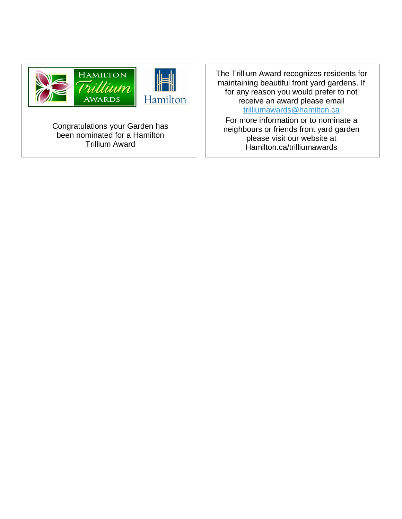

Congratulations your Garden has been nominated for a Hamilton Trillium Award

The Trillium Award recognizes residents for maintaining beautiful front yard gardens. If for any reason you would prefer to not receive an award please email [trilliumawards@hamilton.ca](mailto:trilliumawards@hamilton.ca)

For more information or to nominate a neighbours or friends front yard garden please visit our website at Hamilton.ca/trilliumawards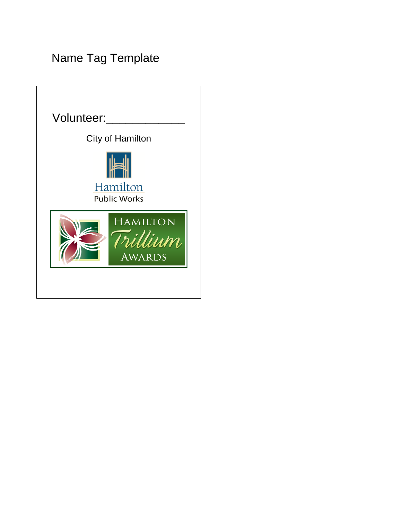## Name Tag Template